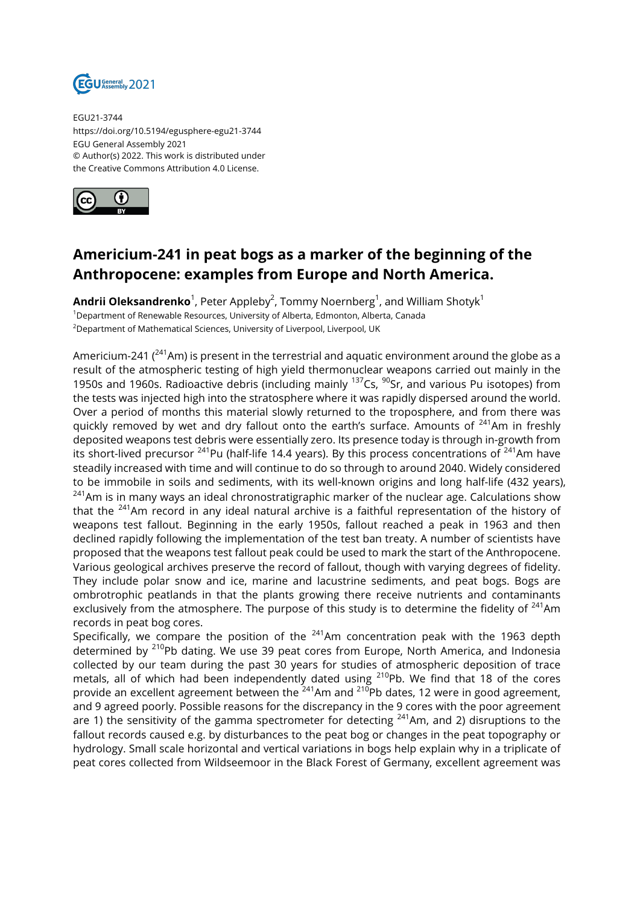

EGU21-3744 https://doi.org/10.5194/egusphere-egu21-3744 EGU General Assembly 2021 © Author(s) 2022. This work is distributed under the Creative Commons Attribution 4.0 License.



## **Americium-241 in peat bogs as a marker of the beginning of the Anthropocene: examples from Europe and North America.**

**Andrii Oleksandrenko**<sup>1</sup>, Peter Appleby<sup>2</sup>, Tommy Noernberg<sup>1</sup>, and William Shotyk<sup>1</sup> <sup>1</sup>Department of Renewable Resources, University of Alberta, Edmonton, Alberta, Canada <sup>2</sup>Department of Mathematical Sciences, University of Liverpool, Liverpool, UK

Americium-241 ( $^{241}$ Am) is present in the terrestrial and aquatic environment around the globe as a result of the atmospheric testing of high yield thermonuclear weapons carried out mainly in the 1950s and 1960s. Radioactive debris (including mainly  $137$ Cs,  $90$ Sr, and various Pu isotopes) from the tests was injected high into the stratosphere where it was rapidly dispersed around the world. Over a period of months this material slowly returned to the troposphere, and from there was quickly removed by wet and dry fallout onto the earth's surface. Amounts of  $241$ Am in freshly deposited weapons test debris were essentially zero. Its presence today is through in-growth from its short-lived precursor  $^{241}$ Pu (half-life 14.4 years). By this process concentrations of  $^{241}$ Am have steadily increased with time and will continue to do so through to around 2040. Widely considered to be immobile in soils and sediments, with its well-known origins and long half-life (432 years), <sup>241</sup>Am is in many ways an ideal chronostratigraphic marker of the nuclear age. Calculations show that the <sup>241</sup>Am record in any ideal natural archive is a faithful representation of the history of weapons test fallout. Beginning in the early 1950s, fallout reached a peak in 1963 and then declined rapidly following the implementation of the test ban treaty. A number of scientists have proposed that the weapons test fallout peak could be used to mark the start of the Anthropocene. Various geological archives preserve the record of fallout, though with varying degrees of fidelity. They include polar snow and ice, marine and lacustrine sediments, and peat bogs. Bogs are ombrotrophic peatlands in that the plants growing there receive nutrients and contaminants exclusively from the atmosphere. The purpose of this study is to determine the fidelity of <sup>241</sup>Am records in peat bog cores.

Specifically, we compare the position of the  $241$ Am concentration peak with the 1963 depth determined by  $^{210}$ Pb dating. We use 39 peat cores from Europe, North America, and Indonesia collected by our team during the past 30 years for studies of atmospheric deposition of trace metals, all of which had been independently dated using  $^{210}$ Pb. We find that 18 of the cores provide an excellent agreement between the  $241$ <sup>A</sup>m and  $210$ <sup>p</sup>pb dates, 12 were in good agreement, and 9 agreed poorly. Possible reasons for the discrepancy in the 9 cores with the poor agreement are 1) the sensitivity of the gamma spectrometer for detecting  $241$ Am, and 2) disruptions to the fallout records caused e.g. by disturbances to the peat bog or changes in the peat topography or hydrology. Small scale horizontal and vertical variations in bogs help explain why in a triplicate of peat cores collected from Wildseemoor in the Black Forest of Germany, excellent agreement was